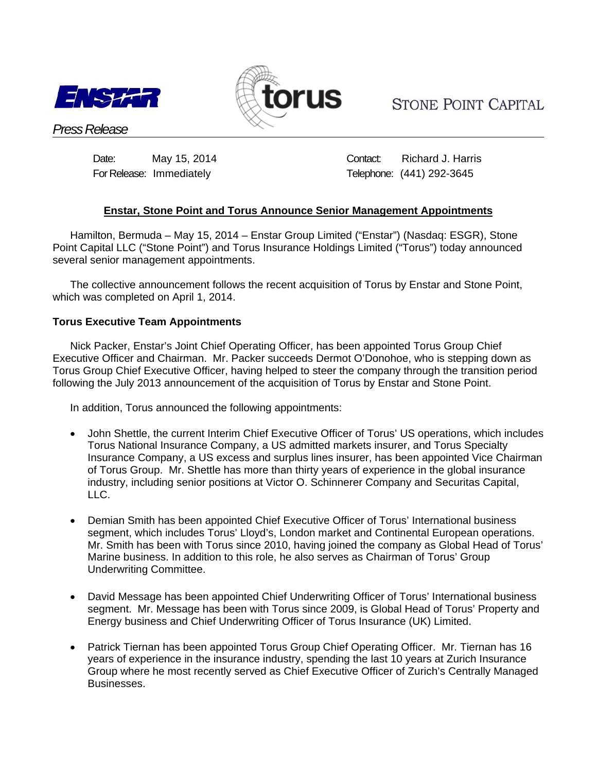



**STONE POINT CAPITAL** 

*Press Release*

Date: May 15, 2014 Contact: Richard J. Harris For Release: ImmediatelyTelephone: (441) 292-3645

# **Enstar, Stone Point and Torus Announce Senior Management Appointments**

Hamilton, Bermuda – May 15, 2014 – Enstar Group Limited ("Enstar") (Nasdaq: ESGR), Stone Point Capital LLC ("Stone Point") and Torus Insurance Holdings Limited ("Torus") today announced several senior management appointments.

The collective announcement follows the recent acquisition of Torus by Enstar and Stone Point, which was completed on April 1, 2014.

## **Torus Executive Team Appointments**

Nick Packer, Enstar's Joint Chief Operating Officer, has been appointed Torus Group Chief Executive Officer and Chairman. Mr. Packer succeeds Dermot O'Donohoe, who is stepping down as Torus Group Chief Executive Officer, having helped to steer the company through the transition period following the July 2013 announcement of the acquisition of Torus by Enstar and Stone Point.

In addition, Torus announced the following appointments:

- John Shettle, the current Interim Chief Executive Officer of Torus' US operations, which includes Torus National Insurance Company, a US admitted markets insurer, and Torus Specialty Insurance Company, a US excess and surplus lines insurer, has been appointed Vice Chairman of Torus Group. Mr. Shettle has more than thirty years of experience in the global insurance industry, including senior positions at Victor O. Schinnerer Company and Securitas Capital, LLC.
- Demian Smith has been appointed Chief Executive Officer of Torus' International business segment, which includes Torus' Lloyd's, London market and Continental European operations. Mr. Smith has been with Torus since 2010, having joined the company as Global Head of Torus' Marine business. In addition to this role, he also serves as Chairman of Torus' Group Underwriting Committee.
- David Message has been appointed Chief Underwriting Officer of Torus' International business segment. Mr. Message has been with Torus since 2009, is Global Head of Torus' Property and Energy business and Chief Underwriting Officer of Torus Insurance (UK) Limited.
- Patrick Tiernan has been appointed Torus Group Chief Operating Officer. Mr. Tiernan has 16 years of experience in the insurance industry, spending the last 10 years at Zurich Insurance Group where he most recently served as Chief Executive Officer of Zurich's Centrally Managed Businesses.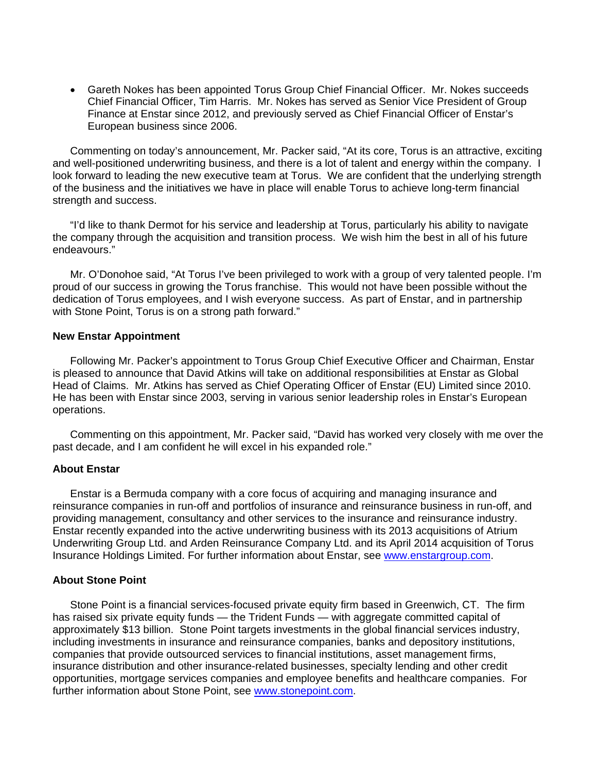Gareth Nokes has been appointed Torus Group Chief Financial Officer. Mr. Nokes succeeds Chief Financial Officer, Tim Harris. Mr. Nokes has served as Senior Vice President of Group Finance at Enstar since 2012, and previously served as Chief Financial Officer of Enstar's European business since 2006.

Commenting on today's announcement, Mr. Packer said, "At its core, Torus is an attractive, exciting and well-positioned underwriting business, and there is a lot of talent and energy within the company. I look forward to leading the new executive team at Torus. We are confident that the underlying strength of the business and the initiatives we have in place will enable Torus to achieve long-term financial strength and success.

"I'd like to thank Dermot for his service and leadership at Torus, particularly his ability to navigate the company through the acquisition and transition process. We wish him the best in all of his future endeavours."

Mr. O'Donohoe said, "At Torus I've been privileged to work with a group of very talented people. I'm proud of our success in growing the Torus franchise. This would not have been possible without the dedication of Torus employees, and I wish everyone success. As part of Enstar, and in partnership with Stone Point, Torus is on a strong path forward."

#### **New Enstar Appointment**

Following Mr. Packer's appointment to Torus Group Chief Executive Officer and Chairman, Enstar is pleased to announce that David Atkins will take on additional responsibilities at Enstar as Global Head of Claims. Mr. Atkins has served as Chief Operating Officer of Enstar (EU) Limited since 2010. He has been with Enstar since 2003, serving in various senior leadership roles in Enstar's European operations.

Commenting on this appointment, Mr. Packer said, "David has worked very closely with me over the past decade, and I am confident he will excel in his expanded role."

#### **About Enstar**

Enstar is a Bermuda company with a core focus of acquiring and managing insurance and reinsurance companies in run-off and portfolios of insurance and reinsurance business in run-off, and providing management, consultancy and other services to the insurance and reinsurance industry. Enstar recently expanded into the active underwriting business with its 2013 acquisitions of Atrium Underwriting Group Ltd. and Arden Reinsurance Company Ltd. and its April 2014 acquisition of Torus Insurance Holdings Limited. For further information about Enstar, see www.enstargroup.com.

## **About Stone Point**

Stone Point is a financial services-focused private equity firm based in Greenwich, CT. The firm has raised six private equity funds — the Trident Funds — with aggregate committed capital of approximately \$13 billion. Stone Point targets investments in the global financial services industry, including investments in insurance and reinsurance companies, banks and depository institutions, companies that provide outsourced services to financial institutions, asset management firms, insurance distribution and other insurance-related businesses, specialty lending and other credit opportunities, mortgage services companies and employee benefits and healthcare companies. For further information about Stone Point, see www.stonepoint.com.